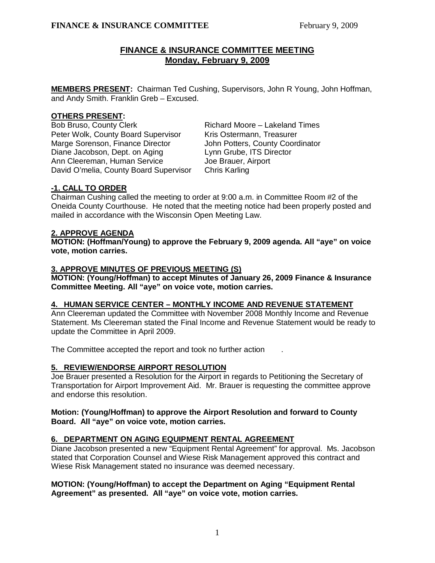# **FINANCE & INSURANCE COMMITTEE MEETING Monday, February 9, 2009**

**MEMBERS PRESENT:** Chairman Ted Cushing, Supervisors, John R Young, John Hoffman, and Andy Smith. Franklin Greb – Excused.

### **OTHERS PRESENT:**

Bob Bruso, County Clerk Richard Moore – Lakeland Times Peter Wolk, County Board Supervisor Kris Ostermann, Treasurer Marge Sorenson, Finance Director John Potters, County Coordinator Diane Jacobson, Dept. on Aging Lynn Grube, ITS Director Ann Cleereman, Human Service **Joe Brauer**, Airport David O'melia, County Board Supervisor Chris Karling

# **-1. CALL TO ORDER**

Chairman Cushing called the meeting to order at 9:00 a.m. in Committee Room #2 of the Oneida County Courthouse. He noted that the meeting notice had been properly posted and mailed in accordance with the Wisconsin Open Meeting Law.

## **2. APPROVE AGENDA**

**MOTION: (Hoffman/Young) to approve the February 9, 2009 agenda. All "aye" on voice vote, motion carries.** 

## **3. APPROVE MINUTES OF PREVIOUS MEETING (S)**

**MOTION: (Young/Hoffman) to accept Minutes of January 26, 2009 Finance & Insurance Committee Meeting. All "aye" on voice vote, motion carries.** 

## **4. HUMAN SERVICE CENTER – MONTHLY INCOME AND REVENUE STATEMENT**

Ann Cleereman updated the Committee with November 2008 Monthly Income and Revenue Statement. Ms Cleereman stated the Final Income and Revenue Statement would be ready to update the Committee in April 2009.

The Committee accepted the report and took no further action

## **5. REVIEW/ENDORSE AIRPORT RESOLUTION**

Joe Brauer presented a Resolution for the Airport in regards to Petitioning the Secretary of Transportation for Airport Improvement Aid. Mr. Brauer is requesting the committee approve and endorse this resolution.

## **Motion: (Young/Hoffman) to approve the Airport Resolution and forward to County Board. All "aye" on voice vote, motion carries.**

## **6. DEPARTMENT ON AGING EQUIPMENT RENTAL AGREEMENT**

Diane Jacobson presented a new "Equipment Rental Agreement" for approval. Ms. Jacobson stated that Corporation Counsel and Wiese Risk Management approved this contract and Wiese Risk Management stated no insurance was deemed necessary.

## **MOTION: (Young/Hoffman) to accept the Department on Aging "Equipment Rental Agreement" as presented. All "aye" on voice vote, motion carries.**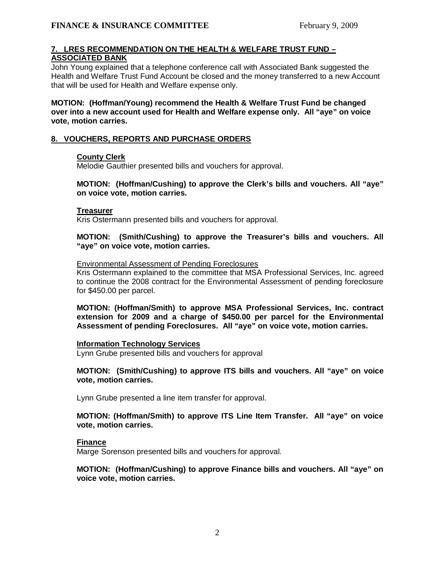## **7. LRES RECOMMENDATION ON THE HEALTH & WELFARE TRUST FUND – ASSOCIATED BANK**

John Young explained that a telephone conference call with Associated Bank suggested the Health and Welfare Trust Fund Account be closed and the money transferred to a new Account that will be used for Health and Welfare expense only.

 **MOTION: (Hoffman/Young) recommend the Health & Welfare Trust Fund be changed over into a new account used for Health and Welfare expense only. All "aye" on voice vote, motion carries.** 

## **8. VOUCHERS, REPORTS AND PURCHASE ORDERS**

#### **County Clerk**

Melodie Gauthier presented bills and vouchers for approval.

**MOTION: (Hoffman/Cushing) to approve the Clerk's bills and vouchers. All "aye" on voice vote, motion carries.** 

#### **Treasurer**

Kris Ostermann presented bills and vouchers for approval.

**MOTION: (Smith/Cushing) to approve the Treasurer's bills and vouchers. All "aye" on voice vote, motion carries.** 

#### Environmental Assessment of Pending Foreclosures

Kris Ostermann explained to the committee that MSA Professional Services, Inc. agreed to continue the 2008 contract for the Environmental Assessment of pending foreclosure for \$450.00 per parcel.

**MOTION: (Hoffman/Smith) to approve MSA Professional Services, Inc. contract extension for 2009 and a charge of \$450.00 per parcel for the Environmental Assessment of pending Foreclosures. All "aye" on voice vote, motion carries.** 

#### **Information Technology Services**

Lynn Grube presented bills and vouchers for approval

**MOTION: (Smith/Cushing) to approve ITS bills and vouchers. All "aye" on voice vote, motion carries.** 

Lynn Grube presented a line item transfer for approval.

#### **MOTION: (Hoffman/Smith) to approve ITS Line Item Transfer. All "aye" on voice vote, motion carries.**

#### **Finance**

Marge Sorenson presented bills and vouchers for approval.

## **MOTION: (Hoffman/Cushing) to approve Finance bills and vouchers. All "aye" on voice vote, motion carries.**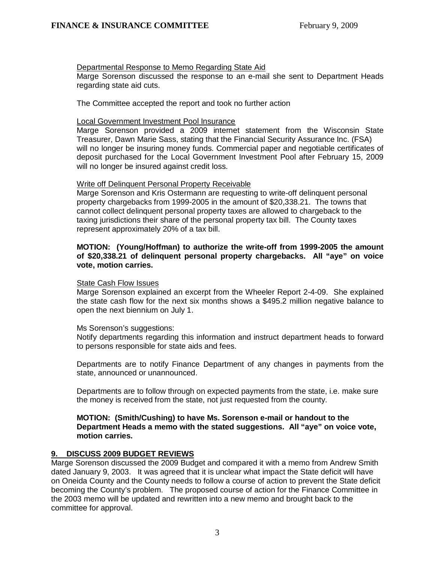## Departmental Response to Memo Regarding State Aid

Marge Sorenson discussed the response to an e-mail she sent to Department Heads regarding state aid cuts.

The Committee accepted the report and took no further action

### Local Government Investment Pool Insurance

Marge Sorenson provided a 2009 internet statement from the Wisconsin State Treasurer, Dawn Marie Sass, stating that the Financial Security Assurance Inc. (FSA) will no longer be insuring money funds. Commercial paper and negotiable certificates of deposit purchased for the Local Government Investment Pool after February 15, 2009 will no longer be insured against credit loss.

## Write off Delinquent Personal Property Receivable

Marge Sorenson and Kris Ostermann are requesting to write-off delinquent personal property chargebacks from 1999-2005 in the amount of \$20,338.21. The towns that cannot collect delinquent personal property taxes are allowed to chargeback to the taxing jurisdictions their share of the personal property tax bill. The County taxes represent approximately 20% of a tax bill.

## **MOTION: (Young/Hoffman) to authorize the write-off from 1999-2005 the amount of \$20,338.21 of delinquent personal property chargebacks. All "aye" on voice vote, motion carries.**

#### State Cash Flow Issues

Marge Sorenson explained an excerpt from the Wheeler Report 2-4-09. She explained the state cash flow for the next six months shows a \$495.2 million negative balance to open the next biennium on July 1.

#### Ms Sorenson's suggestions:

Notify departments regarding this information and instruct department heads to forward to persons responsible for state aids and fees.

Departments are to notify Finance Department of any changes in payments from the state, announced or unannounced.

 Departments are to follow through on expected payments from the state, i.e. make sure the money is received from the state, not just requested from the county.

#### **MOTION: (Smith/Cushing) to have Ms. Sorenson e-mail or handout to the Department Heads a memo with the stated suggestions. All "aye" on voice vote, motion carries.**

## **9. DISCUSS 2009 BUDGET REVIEWS**

Marge Sorenson discussed the 2009 Budget and compared it with a memo from Andrew Smith dated January 9, 2003. It was agreed that it is unclear what impact the State deficit will have on Oneida County and the County needs to follow a course of action to prevent the State deficit becoming the County's problem. The proposed course of action for the Finance Committee in the 2003 memo will be updated and rewritten into a new memo and brought back to the committee for approval.